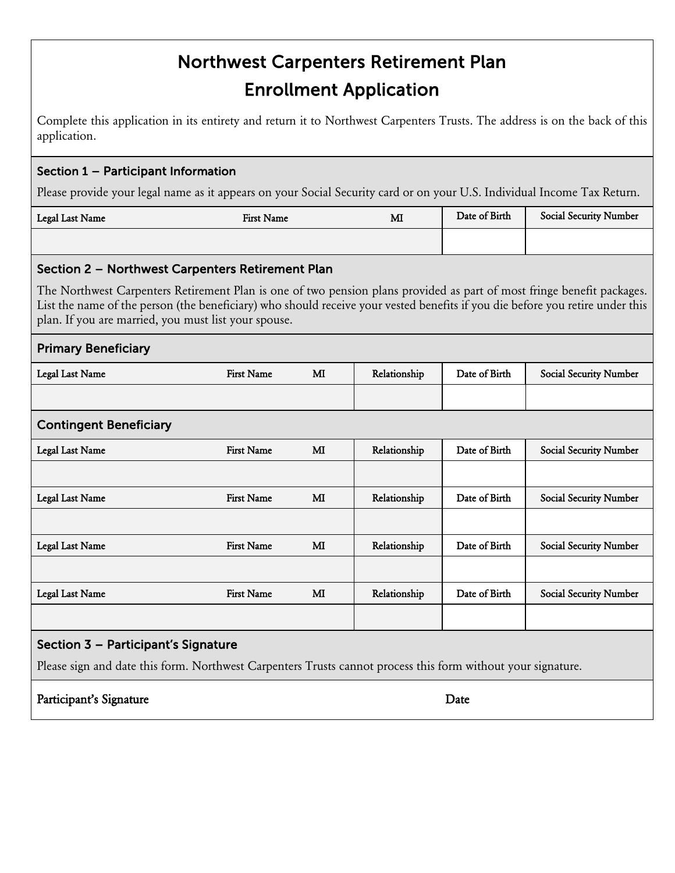# Northwest Carpenters Retirement Plan Enrollment Application

Complete this application in its entirety and return it to Northwest Carpenters Trusts. The address is on the back of this application.

### Section 1 – Participant Information

Please provide your legal name as it appears on your Social Security card or on your U.S. Individual Income Tax Return.

| Legal Last Name | First Name | MI | Date of Birth | <b>Social Security Number</b> |
|-----------------|------------|----|---------------|-------------------------------|
|                 |            |    |               |                               |

## Section 2 – Northwest Carpenters Retirement Plan

The Northwest Carpenters Retirement Plan is one of two pension plans provided as part of most fringe benefit packages. List the name of the person (the beneficiary) who should receive your vested benefits if you die before you retire under this plan. If you are married, you must list your spouse.

| <b>Primary Beneficiary</b>                                                                                   |                   |    |              |               |                               |  |
|--------------------------------------------------------------------------------------------------------------|-------------------|----|--------------|---------------|-------------------------------|--|
| Legal Last Name                                                                                              | <b>First Name</b> | MI | Relationship | Date of Birth | <b>Social Security Number</b> |  |
|                                                                                                              |                   |    |              |               |                               |  |
| <b>Contingent Beneficiary</b>                                                                                |                   |    |              |               |                               |  |
| Legal Last Name                                                                                              | <b>First Name</b> | MI | Relationship | Date of Birth | <b>Social Security Number</b> |  |
|                                                                                                              |                   |    |              |               |                               |  |
| <b>Legal Last Name</b>                                                                                       | <b>First Name</b> | MI | Relationship | Date of Birth | <b>Social Security Number</b> |  |
|                                                                                                              |                   |    |              |               |                               |  |
| Legal Last Name                                                                                              | <b>First Name</b> | MI | Relationship | Date of Birth | <b>Social Security Number</b> |  |
|                                                                                                              |                   |    |              |               |                               |  |
| Legal Last Name                                                                                              | <b>First Name</b> | MI | Relationship | Date of Birth | <b>Social Security Number</b> |  |
|                                                                                                              |                   |    |              |               |                               |  |
| Section 3 - Participant's Signature                                                                          |                   |    |              |               |                               |  |
| Please sign and date this form. Northwest Carpenters Trusts cannot process this form without your signature. |                   |    |              |               |                               |  |
| Participant's Signature                                                                                      | Date              |    |              |               |                               |  |